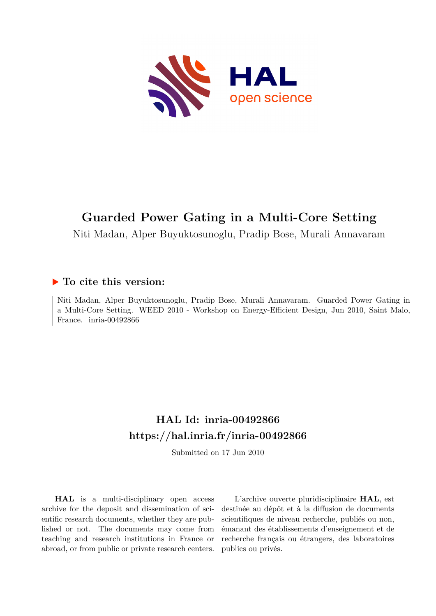

# **Guarded Power Gating in a Multi-Core Setting**

Niti Madan, Alper Buyuktosunoglu, Pradip Bose, Murali Annavaram

## **To cite this version:**

Niti Madan, Alper Buyuktosunoglu, Pradip Bose, Murali Annavaram. Guarded Power Gating in a Multi-Core Setting. WEED 2010 - Workshop on Energy-Efficient Design, Jun 2010, Saint Malo, France. inria-00492866

# **HAL Id: inria-00492866 <https://hal.inria.fr/inria-00492866>**

Submitted on 17 Jun 2010

**HAL** is a multi-disciplinary open access archive for the deposit and dissemination of scientific research documents, whether they are published or not. The documents may come from teaching and research institutions in France or abroad, or from public or private research centers.

L'archive ouverte pluridisciplinaire **HAL**, est destinée au dépôt et à la diffusion de documents scientifiques de niveau recherche, publiés ou non, émanant des établissements d'enseignement et de recherche français ou étrangers, des laboratoires publics ou privés.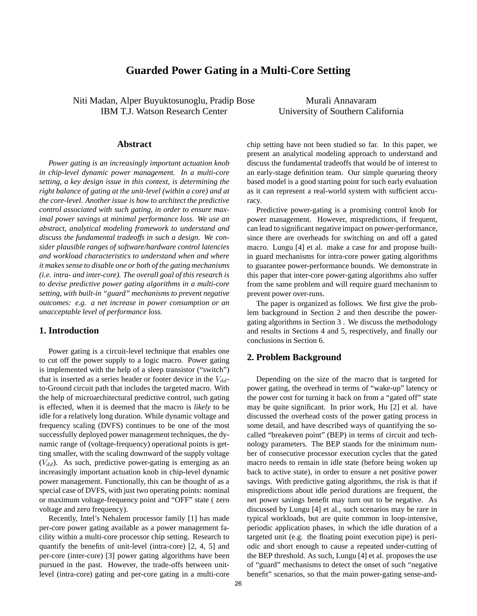### **Guarded Power Gating in a Multi-Core Setting**

Niti Madan, Alper Buyuktosunoglu, Pradip Bose IBM T.J. Watson Research Center

#### **Abstract**

*Power gating is an increasingly important actuation knob in chip-level dynamic power management. In a multi-core setting, a key design issue in this context, is determining the right balance of gating at the unit-level (within a core) and at the core-level. Another issue is how to architect the predictive control associated with such gating, in order to ensure maximal power savings at minimal performance loss. We use an abstract, analytical modeling framework to understand and discuss the fundamental tradeoffs in such a design. We consider plausible ranges of software/hardware control latencies and workload characteristics to understand when and where it makes sense to disable one or both of the gating mechanisms (i.e. intra- and inter-core). The overall goal of this research is to devise predictive power gating algorithms in a multi-core setting, with built-in "guard" mechanisms to prevent negative outcomes: e.g. a net increase in power consumption or an unacceptable level of performance loss.*

#### **1. Introduction**

Power gating is a circuit-level technique that enables one to cut off the power supply to a logic macro. Power gating is implemented with the help of a sleep transistor ("switch") that is inserted as a series header or footer device in the  $V_{dd}$ to-Ground circuit path that includes the targeted macro. With the help of microarchitectural predictive control, such gating is effected, when it is deemed that the macro is *likely* to be idle for a relatively long duration. While dynamic voltage and frequency scaling (DVFS) continues to be one of the most successfully deployed power management techniques, the dynamic range of (voltage-frequency) operational points is getting smaller, with the scaling downward of the supply voltage  $(V_{dd})$ . As such, predictive power-gating is emerging as an increasingly important actuation knob in chip-level dynamic power management. Functionally, this can be thought of as a special case of DVFS, with just two operating points: nominal or maximum voltage-frequency point and "OFF" state ( zero voltage and zero frequency).

Recently, Intel's Nehalem processor family [1] has made per-core power gating available as a power management facility within a multi-core processor chip setting. Research to quantify the benefits of unit-level (intra-core) [2, 4, 5] and per-core (inter-core) [3] power gating algorithms have been pursued in the past. However, the trade-offs between unitlevel (intra-core) gating and per-core gating in a multi-core

chip setting have not been studied so far. In this paper, we present an analytical modeling approach to understand and discuss the fundamental tradeoffs that would be of interest to an early-stage definition team. Our simple queueing theory based model is a good starting point for such early evaluation as it can represent a real-world system with sufficient accu-

racy. Predictive power-gating is a promising control knob for power management. However, mispredictions, if frequent, can lead to significant negative impact on power-performance, since there are overheads for switching on and off a gated macro. Lungu [4] et al. make a case for and propose builtin guard mechanisms for intra-core power gating algorithms to guarantee power-performance bounds. We demonstrate in this paper that inter-core power-gating algorithms also suffer from the same problem and will require guard mechanism to prevent power over-runs.

The paper is organized as follows. We first give the problem background in Section 2 and then describe the powergating algorithms in Section 3 . We discuss the methodology and results in Sections 4 and 5, respectively, and finally our conclusions in Section 6.

#### **2. Problem Background**

Depending on the size of the macro that is targeted for power gating, the overhead in terms of "wake-up" latency or the power cost for turning it back on from a "gated off" state may be quite significant. In prior work, Hu [2] et al. have discussed the overhead costs of the power gating process in some detail, and have described ways of quantifying the socalled "breakeven point" (BEP) in terms of circuit and technology parameters. The BEP stands for the minimum number of consecutive processor execution cycles that the gated macro needs to remain in idle state (before being woken up back to active state), in order to ensure a net positive power savings. With predictive gating algorithms, the risk is that if mispredictions about idle period durations are frequent, the net power savings benefit may turn out to be negative. As discussed by Lungu [4] et al., such scenarios may be rare in typical workloads, but are quite common in loop-intensive, periodic application phases, in which the idle duration of a targeted unit (e.g. the floating point execution pipe) is periodic and short enough to cause a repeated under-cutting of the BEP threshold. As such, Lungu [4] et al. proposes the use of "guard" mechanisms to detect the onset of such "negative benefit" scenarios, so that the main power-gating sense-and-

Murali Annavaram University of Southern California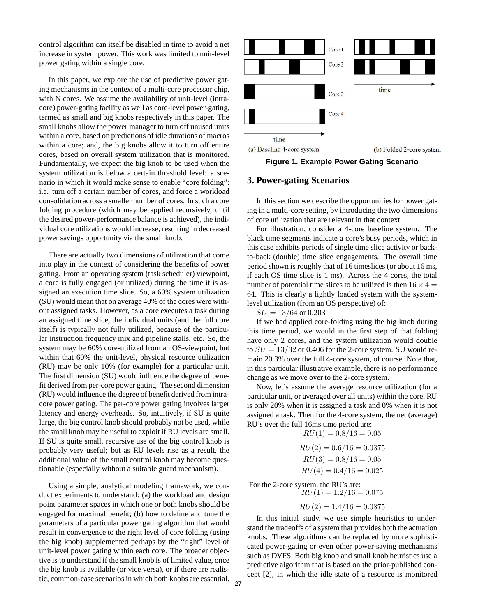control algorithm can itself be disabled in time to avoid a net increase in system power. This work was limited to unit-level power gating within a single core.

In this paper, we explore the use of predictive power gating mechanisms in the context of a multi-core processor chip, with N cores. We assume the availability of unit-level (intracore) power-gating facility as well as core-level power-gating, termed as small and big knobs respectively in this paper. The small knobs allow the power manager to turn off unused units within a core, based on predictions of idle durations of macros within a core; and, the big knobs allow it to turn off entire cores, based on overall system utilization that is monitored. Fundamentally, we expect the big knob to be used when the system utilization is below a certain threshold level: a scenario in which it would make sense to enable "core folding": i.e. turn off a certain number of cores, and force a workload consolidation across a smaller number of cores. In such a core folding procedure (which may be applied recursively, until the desired power-performance balance is achieved), the individual core utilizations would increase, resulting in decreased power savings opportunity via the small knob.

There are actually two dimensions of utilization that come into play in the context of considering the benefits of power gating. From an operating system (task scheduler) viewpoint, a core is fully engaged (or utilized) during the time it is assigned an execution time slice. So, a 60% system utilization (SU) would mean that on average 40% of the cores were without assigned tasks. However, as a core executes a task during an assigned time slice, the individual units (and the full core itself) is typically not fully utilized, because of the particular instruction frequency mix and pipeline stalls, etc. So, the system may be 60% core-utilized from an OS-viewpoint, but within that 60% the unit-level, physical resource utilization (RU) may be only 10% (for example) for a particular unit. The first dimension (SU) would influence the degree of benefit derived from per-core power gating. The second dimension (RU) would influence the degree of benefit derived from intracore power gating. The per-core power gating involves larger latency and energy overheads. So, intuitively, if SU is quite large, the big control knob should probably not be used, while the small knob may be useful to exploit if RU levels are small. If SU is quite small, recursive use of the big control knob is probably very useful; but as RU levels rise as a result, the additional value of the small control knob may become questionable (especially without a suitable guard mechanism).

Using a simple, analytical modeling framework, we conduct experiments to understand: (a) the workload and design point parameter spaces in which one or both knobs should be engaged for maximal benefit; (b) how to define and tune the parameters of a particular power gating algorithm that would result in convergence to the right level of core folding (using the big knob) supplemented perhaps by the "right" level of unit-level power gating within each core. The broader objective is to understand if the small knob is of limited value, once the big knob is available (or vice versa), or if there are realistic, common-case scenarios in which both knobs are essential.



**Figure 1. Example Power Gating Scenario**

#### **3. Power-gating Scenarios**

In this section we describe the opportunities for power gating in a multi-core setting, by introducing the two dimensions of core utilization that are relevant in that context.

For illustration, consider a 4-core baseline system. The black time segments indicate a core's busy periods, which in this case exhibits periods of single time slice activity or backto-back (double) time slice engagements. The overall time period shown is roughly that of 16 timeslices (or about 16 ms, if each OS time slice is 1 ms). Across the 4 cores, the total number of potential time slices to be utilized is then  $16 \times 4 =$ 64. This is clearly a lightly loaded system with the systemlevel utilization (from an OS perspective) of:

 $SU = 13/64$  or 0.203

If we had applied core-folding using the big knob during this time period, we would in the first step of that folding have only 2 cores, and the system utilization would double to  $SU = 13/32$  or 0.406 for the 2-core system. SU would remain 20.3% over the full 4-core system, of course. Note that, in this particular illustrative example, there is no performance change as we move over to the 2-core system.

Now, let's assume the average resource utilization (for a particular unit, or averaged over all units) within the core, RU is only 20% when it is assigned a task and 0% when it is not assigned a task. Then for the 4-core system, the net (average) RU's over the full 16ms time period are:

> $RU(1) = 0.8/16 = 0.05$  $RU(2) = 0.6/16 = 0.0375$  $RU(3) = 0.8/16 = 0.05$  $RU(4) = 0.4/16 = 0.025$

For the 2-core system, the RU's are:  $RU(1) = 1.2/16 = 0.075$ 

$$
RU(2) = 1.4/16 = 0.0875
$$

In this initial study, we use simple heuristics to understand the tradeoffs of a system that provides both the actuation knobs. These algorithms can be replaced by more sophisticated power-gating or even other power-saving mechanisms such as DVFS. Both big knob and small knob heuristics use a predictive algorithm that is based on the prior-published concept [2], in which the idle state of a resource is monitored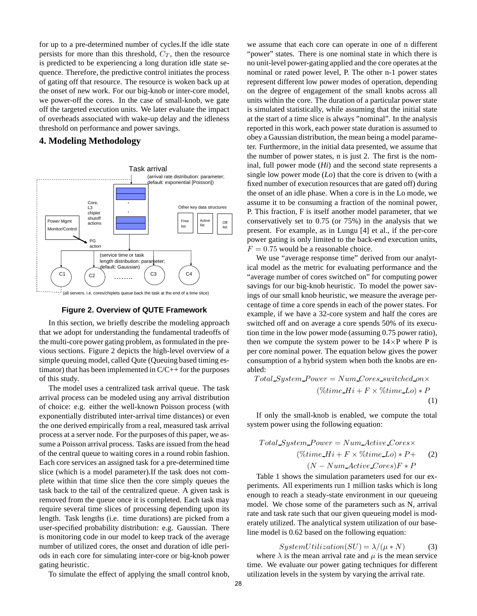for up to a pre-determined number of cycles.If the idle state persists for more than this threshold,  $C_T$ , then the resource is predicted to be experiencing a long duration idle state sequence. Therefore, the predictive control initiates the process of gating off that resource. The resource is woken back up at the onset of new work. For our big-knob or inter-core model, we power-off the cores. In the case of small-knob, we gate off the targeted execution units. We later evaluate the impact of overheads associated with wake-up delay and the idleness threshold on performance and power savings.

### **4. Modeling Methodology**



#### **Figure 2. Overview of QUTE Framework**

In this section, we briefly describe the modeling approach that we adopt for understanding the fundamental tradeoffs of the multi-core power gating problem, as formulated in the previous sections. Figure 2 depicts the high-level overview of a simple queuing model, called Qute (Queuing based timing estimator) that has been implemented in  $C/C++$  for the purposes of this study.

The model uses a centralized task arrival queue. The task arrival process can be modeled using any arrival distribution of choice: e.g. either the well-known Poisson process (with exponentially distributed inter-arrival time distances) or even the one derived empirically from a real, measured task arrival process at a server node. For the purposes of this paper, we assume a Poisson arrival process. Tasks are issued from the head of the central queue to waiting cores in a round robin fashion. Each core services an assigned task for a pre-determined time slice (which is a model parameter).If the task does not complete within that time slice then the core simply queues the task back to the tail of the centralized queue. A given task is removed from the queue once it is completed. Each task may require several time slices of processing depending upon its length. Task lengths (i.e. time durations) are picked from a user-specified probability distribution: e.g. Gaussian. There is monitoring code in our model to keep track of the average number of utilized cores, the onset and duration of idle periods in each core for simulating inter-core or big-knob power gating heuristic.

To simulate the effect of applying the small control knob,

we assume that each core can operate in one of n different "power" states. There is one nominal state in which there is no unit-level power-gating applied and the core operates at the nominal or rated power level, P. The other n-1 power states represent different low power modes of operation, depending on the degree of engagement of the small knobs across all units within the core. The duration of a particular power state is simulated statistically, while assuming that the initial state at the start of a time slice is always "nominal". In the analysis reported in this work, each power state duration is assumed to obey a Gaussian distribution, the mean being a model parameter. Furthermore, in the initial data presented, we assume that the number of power states, n is just 2. The first is the nominal, full power mode (*Hi*) and the second state represents a single low power mode (*Lo*) that the core is driven to (with a fixed number of execution resources that are gated off) during the onset of an idle phase. When a core is in the Lo mode, we assume it to be consuming a fraction of the nominal power, P. This fraction, F is itself another model parameter, that we conservatively set to 0.75 (or 75%) in the analysis that we present. For example, as in Lungu [4] et al., if the per-core power gating is only limited to the back-end execution units,  $F = 0.75$  would be a reasonable choice.

We use "average response time" derived from our analytical model as the metric for evaluating performance and the "average number of cores switched on" for computing power savings for our big-knob heuristic. To model the power savings of our small knob heuristic, we measure the average percentage of time a core spends in each of the power states. For example, if we have a 32-core system and half the cores are switched off and on average a core spends 50% of its execution time in the low power mode (assuming 0.75 power ratio), then we compute the system power to be  $14 \times P$  where P is per core nominal power. The equation below gives the power consumption of a hybrid system when both the knobs are enabled:

$$
Total\_{System\_Power = Num\_{Cores\_switched\_on} \times
$$
  

$$
(\%time\_Hi + F \times \%time\_Lo) * P
$$
  
(1)

If only the small-knob is enabled, we compute the total system power using the following equation:

Total SystemPower = NumActiveCores×  
\n
$$
(\%time\_Hi + F \times \%time\_Lo) * P +
$$
\n
$$
(N - Num\_Active_Cores)F * P
$$
\n(2)

Table 1 shows the simulation parameters used for our experiments. All experiments run 1 million tasks which is long enough to reach a steady-state environment in our queueing model. We chose some of the parameters such as N, arrival rate and task rate such that our given queueing model is moderately utilized. The analytical system utilization of our baseline model is 0.62 based on the following equation:

 $SystemUtilization(SU) = \lambda/(\mu * N)$  (3) where  $\lambda$  is the mean arrival rate and  $\mu$  is the mean service time. We evaluate our power gating techniques for different utilization levels in the system by varying the arrival rate.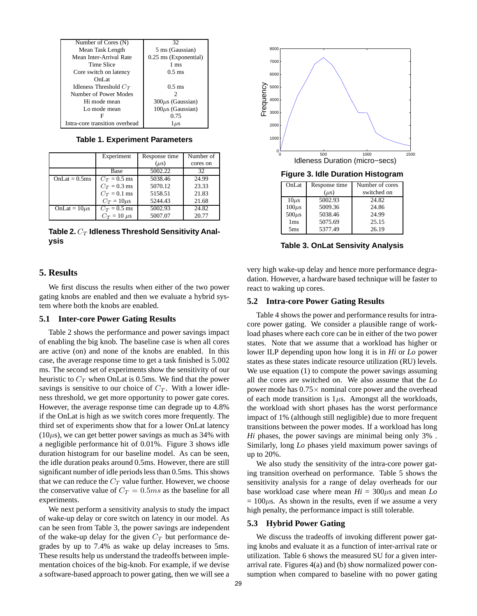| Number of Cores (N)            | 32                    |
|--------------------------------|-----------------------|
| Mean Task Length               | 5 ms (Gaussian)       |
| Mean Inter-Arrival Rate        | 0.25 ms (Exponential) |
| Time Slice                     | $1 \text{ ms}$        |
| Core switch on latency         | $0.5 \text{ ms}$      |
| OnLat                          |                       |
| Idleness Threshold $C_T$       | $0.5 \text{ ms}$      |
| Number of Power Modes          |                       |
| Hi mode mean                   | $300\mu s$ (Gaussian) |
| Lo mode mean                   | $100\mu s$ (Gaussian) |
|                                | 0.75                  |
| Intra-core transition overhead | $1 \mu s$             |

**Table 1. Experiment Parameters**

|                   | Experiment       | Response time | Number of |
|-------------------|------------------|---------------|-----------|
|                   |                  | $(\mu s)$     | cores on  |
|                   | Base             | 5002.22       | 32        |
| $OnLat = 0.5ms$   | $C_T = 0.5$ ms   | 5038.46       | 24.99     |
|                   | $C_T = 0.3$ ms   | 5070.12       | 23.33     |
|                   | $C_T = 0.1$ ms   | 5158.51       | 21.83     |
|                   | $C_T = 10 \mu s$ | 5244.43       | 21.68     |
| OnLat = $10\mu s$ | $C_T = 0.5$ ms   | 5002.93       | 24.82     |
|                   | $C_T = 10 \mu s$ | 5007.07       | 20.77     |

**Table 2.**  $C_T$  Idleness Threshold Sensitivity Anal**ysis**



**Figure 3. Idle Duration Histogram**

| OnLat           | Response time | Number of cores |
|-----------------|---------------|-----------------|
|                 | $(\mu s)$     | switched on     |
| $10\mu s$       | 5002.93       | 24.82           |
| $100\mu s$      | 5009.36       | 24.86           |
| $500 \mu s$     | 5038.46       | 24.99           |
| 1 <sub>ms</sub> | 5075.69       | 25.15           |
| 5 <sub>ms</sub> | 5377.49       | 26.19           |

**Table 3. OnLat Sensivity Analysis**

#### **5. Results**

We first discuss the results when either of the two power gating knobs are enabled and then we evaluate a hybrid system where both the knobs are enabled.

#### **5.1 Inter-core Power Gating Results**

Table 2 shows the performance and power savings impact of enabling the big knob. The baseline case is when all cores are active (on) and none of the knobs are enabled. In this case, the average response time to get a task finished is 5.002 ms. The second set of experiments show the sensitivity of our heuristic to  $C_T$  when OnLat is 0.5ms. We find that the power savings is sensitive to our choice of  $C_T$ . With a lower idleness threshold, we get more opportunity to power gate cores. However, the average response time can degrade up to 4.8% if the OnLat is high as we switch cores more frequently. The third set of experiments show that for a lower OnLat latency  $(10\mu s)$ , we can get better power savings as much as 34% with a negligible performance hit of 0.01%. Figure 3 shows idle duration histogram for our baseline model. As can be seen, the idle duration peaks around 0.5ms. However, there are still significant number of idle periods less than 0.5ms. This shows that we can reduce the  $C_T$  value further. However, we choose the conservative value of  $C_T = 0.5$ ms as the baseline for all experiments.

We next perform a sensitivity analysis to study the impact of wake-up delay or core switch on latency in our model. As can be seen from Table 3, the power savings are independent of the wake-up delay for the given  $C_T$  but performance degrades by up to 7.4% as wake up delay increases to 5ms. These results help us understand the tradeoffs between implementation choices of the big-knob. For example, if we devise a software-based approach to power gating, then we will see a

very high wake-up delay and hence more performance degradation. However, a hardware based technique will be faster to react to waking up cores.

#### **5.2 Intra-core Power Gating Results**

Table 4 shows the power and performance results for intracore power gating. We consider a plausible range of workload phases where each core can be in either of the two power states. Note that we assume that a workload has higher or lower ILP depending upon how long it is in *Hi* or *Lo* power states as these states indicate resource utilization (RU) levels. We use equation (1) to compute the power savings assuming all the cores are switched on. We also assume that the *Lo* power mode has  $0.75 \times$  nominal core power and the overhead of each mode transition is  $1\mu$ s. Amongst all the workloads, the workload with short phases has the worst performance impact of 1% (although still negligible) due to more frequent transitions between the power modes. If a workload has long *Hi* phases, the power savings are minimal being only 3% . Similarly, long *Lo* phases yield maximum power savings of up to 20%.

We also study the sensitivity of the intra-core power gating transition overhead on performance. Table 5 shows the sensitivity analysis for a range of delay overheads for our base workload case where mean  $Hi = 300 \mu s$  and mean *Lo*  $= 100 \mu s$ . As shown in the results, even if we assume a very high penalty, the performance impact is still tolerable.

#### **5.3 Hybrid Power Gating**

We discuss the tradeoffs of invoking different power gating knobs and evaluate it as a function of inter-arrival rate or utilization. Table 6 shows the measured SU for a given interarrival rate. Figures 4(a) and (b) show normalized power consumption when compared to baseline with no power gating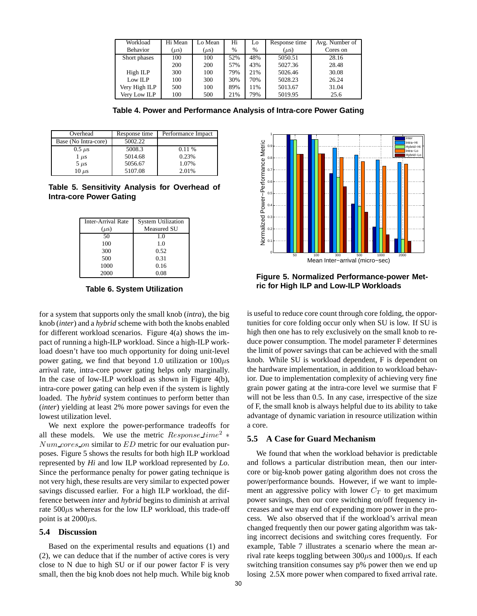| Workload      | Hi Mean   | Lo Mean   | Hi  | Lo            | Response time | Avg. Number of |
|---------------|-----------|-----------|-----|---------------|---------------|----------------|
| Behavior      | $(\mu s)$ | $(\mu s)$ | %   | $\frac{0}{0}$ | $(\mu s)$     | Cores on       |
| Short phases  | 100       | 100       | 52% | 48%           | 5050.51       | 28.16          |
|               | 200       | 200       | 57% | 43%           | 5027.36       | 28.48          |
| High ILP      | 300       | 100       | 79% | 21%           | 5026.46       | 30.08          |
| Low ILP       | 100       | 300       | 30% | 70%           | 5028.23       | 26.24          |
| Very High ILP | 500       | 100       | 89% | 11%           | 5013.67       | 31.04          |
| Very Low ILP  | 100       | 500       | 21% | 79%           | 5019.95       | 25.6           |

**Table 4. Power and Performance Analysis of Intra-core Power Gating**

| Overhead             | Response time | Performance Impact |
|----------------------|---------------|--------------------|
| Base (No Intra-core) | 5002.22       |                    |
| $0.5 \mu s$          | 5008.3        | 0.11%              |
| $1 \mu s$            | 5014.68       | 0.23%              |
| $5 \mu s$            | 5056.67       | 1.07%              |
| $10 \mu s$           | 5107.08       | 2.01%              |

**Table 5. Sensitivity Analysis for Overhead of Intra-core Power Gating**

| <b>Inter-Arrival Rate</b> | <b>System Utilization</b> |
|---------------------------|---------------------------|
| $(\mu s)$                 | Measured SU               |
| 50                        | 1.0                       |
| 100                       | 1.0                       |
| 300                       | 0.52                      |
| 500                       | 0.31                      |
| 1000                      | 0.16                      |
| 2000                      | 0.08                      |

**Table 6. System Utilization**

for a system that supports only the small knob (*intra*), the big knob (*inter*) and a *hybrid* scheme with both the knobs enabled for different workload scenarios. Figure 4(a) shows the impact of running a high-ILP workload. Since a high-ILP workload doesn't have too much opportunity for doing unit-level power gating, we find that beyond 1.0 utilization or  $100\mu s$ arrival rate, intra-core power gating helps only marginally. In the case of low-ILP workload as shown in Figure 4(b), intra-core power gating can help even if the system is lightly loaded. The *hybrid* system continues to perform better than (*inter*) yielding at least 2% more power savings for even the lowest utilization level.

We next explore the power-performance tradeoffs for all these models. We use the metric  $Response\_time^2$  \* Num cores on similar to ED metric for our evaluation purposes. Figure 5 shows the results for both high ILP workload represented by *Hi* and low ILP workload represented by *Lo*. Since the performance penalty for power gating technique is not very high, these results are very similar to expected power savings discussed earlier. For a high ILP workload, the difference between *inter* and *hybrid* begins to diminish at arrival rate  $500\mu s$  whereas for the low ILP workload, this trade-off point is at  $2000\mu s$ .

#### **5.4 Discussion**

Based on the experimental results and equations (1) and (2), we can deduce that if the number of active cores is very close to N due to high SU or if our power factor F is very small, then the big knob does not help much. While big knob



**Figure 5. Normalized Performance-power Metric for High ILP and Low-ILP Workloads**

is useful to reduce core count through core folding, the opportunities for core folding occur only when SU is low. If SU is high then one has to rely exclusively on the small knob to reduce power consumption. The model parameter F determines the limit of power savings that can be achieved with the small knob. While SU is workload dependent, F is dependent on the hardware implementation, in addition to workload behavior. Due to implementation complexity of achieving very fine grain power gating at the intra-core level we surmise that F will not be less than 0.5. In any case, irrespective of the size of F, the small knob is always helpful due to its ability to take advantage of dynamic variation in resource utilization within a core.

#### **5.5 A Case for Guard Mechanism**

We found that when the workload behavior is predictable and follows a particular distribution mean, then our intercore or big-knob power gating algorithm does not cross the power/performance bounds. However, if we want to implement an aggressive policy with lower  $C_T$  to get maximum power savings, then our core switching on/off frequency increases and we may end of expending more power in the process. We also observed that if the workload's arrival mean changed frequently then our power gating algorithm was taking incorrect decisions and switching cores frequently. For example, Table 7 illustrates a scenario where the mean arrival rate keeps toggling between  $300\mu s$  and  $1000\mu s$ . If each switching transition consumes say p% power then we end up losing 2.5X more power when compared to fixed arrival rate.